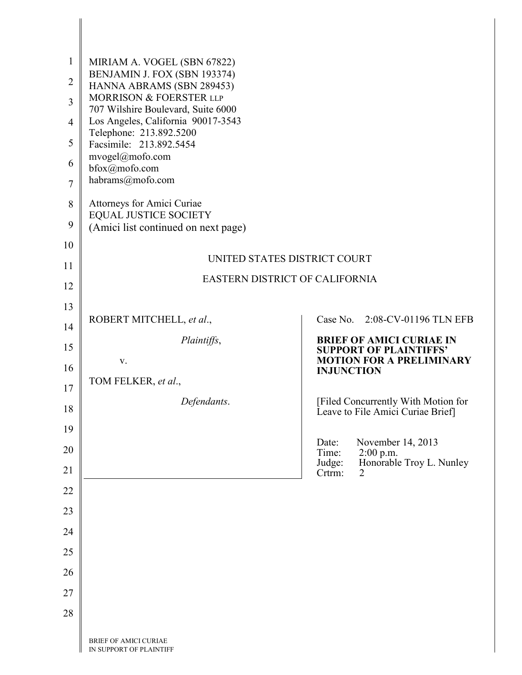| $\mathbf{1}$<br>$\overline{2}$<br>$\overline{3}$ | MIRIAM A. VOGEL (SBN 67822)<br>BENJAMIN J. FOX (SBN 193374)<br>HANNA ABRAMS (SBN 289453)<br>MORRISON & FOERSTER LLP<br>707 Wilshire Boulevard, Suite 6000 |                                                                                      |
|--------------------------------------------------|-----------------------------------------------------------------------------------------------------------------------------------------------------------|--------------------------------------------------------------------------------------|
| $\overline{4}$                                   | Los Angeles, California 90017-3543<br>Telephone: 213.892.5200                                                                                             |                                                                                      |
| 5                                                | Facsimile: 213.892.5454<br>mvogel@mofo.com                                                                                                                |                                                                                      |
| 6                                                | bfox@mofo.com                                                                                                                                             |                                                                                      |
| $\overline{7}$                                   | habrams@mofo.com                                                                                                                                          |                                                                                      |
| 8                                                | Attorneys for Amici Curiae<br><b>EQUAL JUSTICE SOCIETY</b>                                                                                                |                                                                                      |
| 9                                                | (Amici list continued on next page)                                                                                                                       |                                                                                      |
| 10                                               | UNITED STATES DISTRICT COURT                                                                                                                              |                                                                                      |
| 11                                               | <b>EASTERN DISTRICT OF CALIFORNIA</b>                                                                                                                     |                                                                                      |
| 12                                               |                                                                                                                                                           |                                                                                      |
| 13                                               | ROBERT MITCHELL, et al.,                                                                                                                                  | Case No. 2:08-CV-01196 TLN EFB                                                       |
| 14                                               | Plaintiffs,                                                                                                                                               | <b>BRIEF OF AMICI CURIAE IN</b>                                                      |
| 15                                               | V.                                                                                                                                                        | <b>SUPPORT OF PLAINTIFFS'</b><br><b>MOTION FOR A PRELIMINARY</b>                     |
| 16<br>17                                         | TOM FELKER, et al.,                                                                                                                                       | <b>INJUNCTION</b>                                                                    |
| 18                                               | Defendants.                                                                                                                                               | [Filed Concurrently With Motion for                                                  |
| 19                                               |                                                                                                                                                           | Leave to File Amici Curiae Brief]                                                    |
| 20                                               |                                                                                                                                                           | Date:<br>November 14, 2013                                                           |
| 21                                               |                                                                                                                                                           | Time:<br>2:00 p.m.<br>Honorable Troy L. Nunley<br>Judge:<br>Crtrm:<br>$\overline{2}$ |
| 22                                               |                                                                                                                                                           |                                                                                      |
| 23                                               |                                                                                                                                                           |                                                                                      |
| 24                                               |                                                                                                                                                           |                                                                                      |
| 25                                               |                                                                                                                                                           |                                                                                      |
| 26                                               |                                                                                                                                                           |                                                                                      |
| 27                                               |                                                                                                                                                           |                                                                                      |
| 28                                               |                                                                                                                                                           |                                                                                      |
|                                                  | BRIEF OF AMICI CURIAE<br>IN SUPPORT OF PLAINTIFF                                                                                                          |                                                                                      |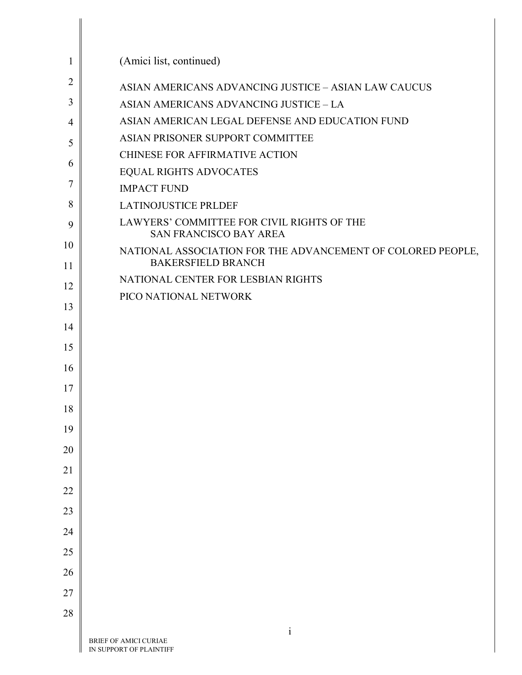| 1              | (Amici list, continued)                                                                  |
|----------------|------------------------------------------------------------------------------------------|
| $\overline{2}$ | ASIAN AMERICANS ADVANCING JUSTICE - ASIAN LAW CAUCUS                                     |
| 3              | ASIAN AMERICANS ADVANCING JUSTICE - LA                                                   |
| 4              | ASIAN AMERICAN LEGAL DEFENSE AND EDUCATION FUND                                          |
| 5              | ASIAN PRISONER SUPPORT COMMITTEE                                                         |
| 6              | <b>CHINESE FOR AFFIRMATIVE ACTION</b>                                                    |
|                | <b>EQUAL RIGHTS ADVOCATES</b>                                                            |
| 7              | <b>IMPACT FUND</b>                                                                       |
| 8              | <b>LATINOJUSTICE PRLDEF</b>                                                              |
| 9              | LAWYERS' COMMITTEE FOR CIVIL RIGHTS OF THE<br><b>SAN FRANCISCO BAY AREA</b>              |
| 10<br>11       | NATIONAL ASSOCIATION FOR THE ADVANCEMENT OF COLORED PEOPLE,<br><b>BAKERSFIELD BRANCH</b> |
| 12             | NATIONAL CENTER FOR LESBIAN RIGHTS                                                       |
| 13             | PICO NATIONAL NETWORK                                                                    |
|                |                                                                                          |
| 14             |                                                                                          |
| 15             |                                                                                          |
| 16             |                                                                                          |
| 17             |                                                                                          |
| 18             |                                                                                          |
| 19             |                                                                                          |
| 20             |                                                                                          |
| 21             |                                                                                          |
| 22             |                                                                                          |
| 23             |                                                                                          |
| 24             |                                                                                          |
| 25             |                                                                                          |
| 26             |                                                                                          |
| 27             |                                                                                          |
| 28             |                                                                                          |
|                | $\mathbf{i}$                                                                             |
|                | BRIEF OF AMICI CURIAE<br>IN SUPPORT OF PLAINTIFF                                         |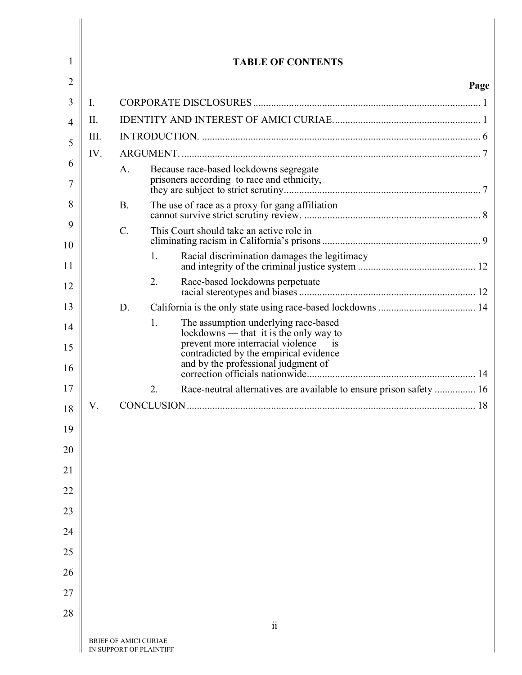| 1        |             |                       |    | <b>TABLE OF CONTENTS</b>                                                                                                 |      |
|----------|-------------|-----------------------|----|--------------------------------------------------------------------------------------------------------------------------|------|
| 2        |             |                       |    |                                                                                                                          | Page |
| 3        | $I_{\cdot}$ |                       |    |                                                                                                                          |      |
| 4        | $\prod$     |                       |    |                                                                                                                          |      |
| 5        | III.        |                       |    |                                                                                                                          |      |
| 6        | IV.         |                       |    |                                                                                                                          |      |
|          |             | A.                    |    | Because race-based lockdowns segregate<br>prisoners according to race and ethnicity,                                     |      |
| 8<br>9   |             | <b>B.</b>             |    | The use of race as a proxy for gang affiliation                                                                          |      |
| 10       |             | $\mathcal{C}$ .       |    | This Court should take an active role in                                                                                 |      |
| 11       |             |                       | 1. | Racial discrimination damages the legitimacy                                                                             |      |
| 12       |             |                       | 2. |                                                                                                                          |      |
| 13       |             | D.                    |    |                                                                                                                          |      |
| 14       |             |                       | 1. | The assumption underlying race-based<br>lockdowns — that it is the only way to<br>prevent more interracial violence — is |      |
| 15<br>16 |             |                       |    | contradicted by the empirical evidence<br>and by the professional judgment of                                            |      |
| 17       |             |                       | 2. | Race-neutral alternatives are available to ensure prison safety  16                                                      |      |
| 18       | V.          |                       |    |                                                                                                                          |      |
| 19       |             |                       |    |                                                                                                                          |      |
| 20       |             |                       |    |                                                                                                                          |      |
| 21       |             |                       |    |                                                                                                                          |      |
| 22       |             |                       |    |                                                                                                                          |      |
| 23       |             |                       |    |                                                                                                                          |      |
| 24       |             |                       |    |                                                                                                                          |      |
| 25       |             |                       |    |                                                                                                                          |      |
| 26       |             |                       |    |                                                                                                                          |      |
| 27       |             |                       |    |                                                                                                                          |      |
| 28       |             |                       |    | $\rm ii$                                                                                                                 |      |
|          |             | BRIEF OF AMICI CURIAE |    |                                                                                                                          |      |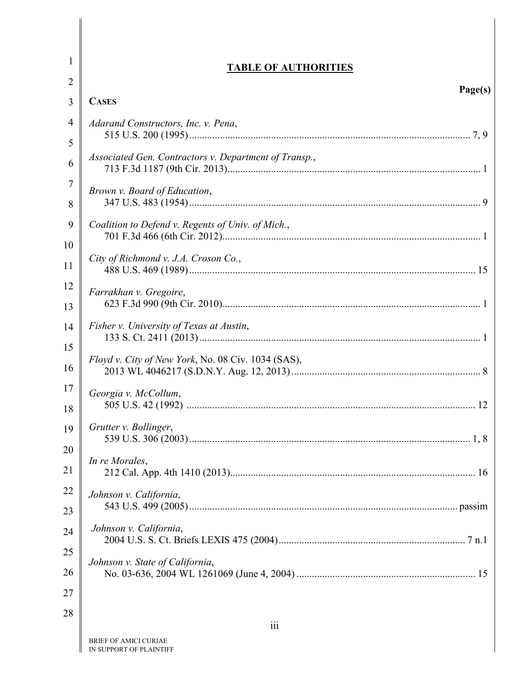| <b>TABLE OF AUTHORITIES</b>                           |
|-------------------------------------------------------|
| Page(s)                                               |
| <b>CASES</b>                                          |
| Adarand Constructors, Inc. v. Pena,                   |
| Associated Gen. Contractors v. Department of Transp., |
| Brown v. Board of Education,                          |
| Coalition to Defend v. Regents of Univ. of Mich.,     |
| City of Richmond v. J.A. Croson Co.,                  |
| Farrakhan v. Gregoire,                                |
| Fisher v. University of Texas at Austin,              |
| Floyd v. City of New York, No. 08 Civ. 1034 (SAS),    |
| Georgia v. McCollum,                                  |
| Grutter v. Bollinger,                                 |
| In re Morales,                                        |
| Johnson v. California,                                |
| Johnson v. California,                                |
| Johnson v. State of California,                       |
|                                                       |
| iii<br><b>RRIEE OF AMICI CURIAE</b>                   |
|                                                       |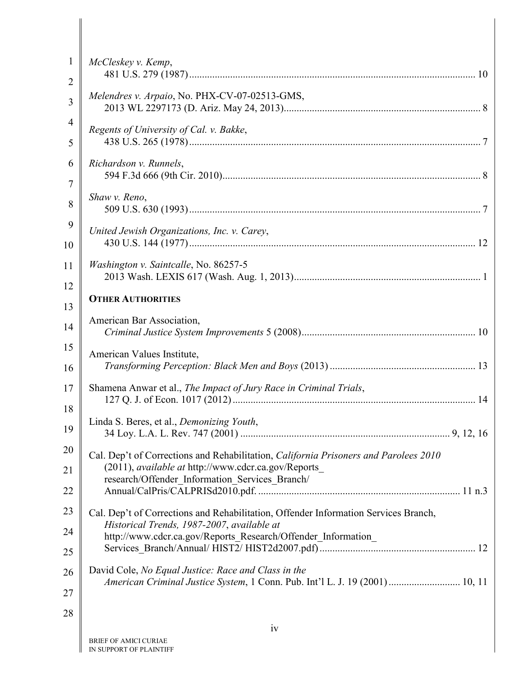| $\mathbf{1}$ | McCleskey v. Kemp,                                                                                                                                 |
|--------------|----------------------------------------------------------------------------------------------------------------------------------------------------|
| 2            |                                                                                                                                                    |
| 3            | Melendres v. Arpaio, No. PHX-CV-07-02513-GMS,                                                                                                      |
| 4<br>5       | Regents of University of Cal. v. Bakke,                                                                                                            |
| 6            | Richardson v. Runnels,                                                                                                                             |
| 7<br>8       | Shaw v. Reno,                                                                                                                                      |
| 9<br>10      | United Jewish Organizations, Inc. v. Carey,                                                                                                        |
| 11           | Washington v. Saintcalle, No. 86257-5                                                                                                              |
| 12<br>13     | <b>OTHER AUTHORITIES</b>                                                                                                                           |
| 14           | American Bar Association,                                                                                                                          |
| 15<br>16     | American Values Institute,                                                                                                                         |
| 17<br>18     | Shamena Anwar et al., The Impact of Jury Race in Criminal Trials,                                                                                  |
| 19           | Linda S. Beres, et al., Demonizing Youth,                                                                                                          |
| 20<br>21     | Cal. Dep't of Corrections and Rehabilitation, California Prisoners and Parolees 2010<br>(2011), <i>available at http://www.cdcr.ca.gov/Reports</i> |
| 22           | research/Offender_Information_Services_Branch/                                                                                                     |
| 23           | Cal. Dep't of Corrections and Rehabilitation, Offender Information Services Branch,<br>Historical Trends, 1987-2007, available at                  |
| 24<br>25     | http://www.cdcr.ca.gov/Reports_Research/Offender_Information_                                                                                      |
| 26<br>27     | David Cole, No Equal Justice: Race and Class in the<br>American Criminal Justice System, 1 Conn. Pub. Int'l L. J. 19 (2001)  10, 11                |
| 28           |                                                                                                                                                    |
|              | iv                                                                                                                                                 |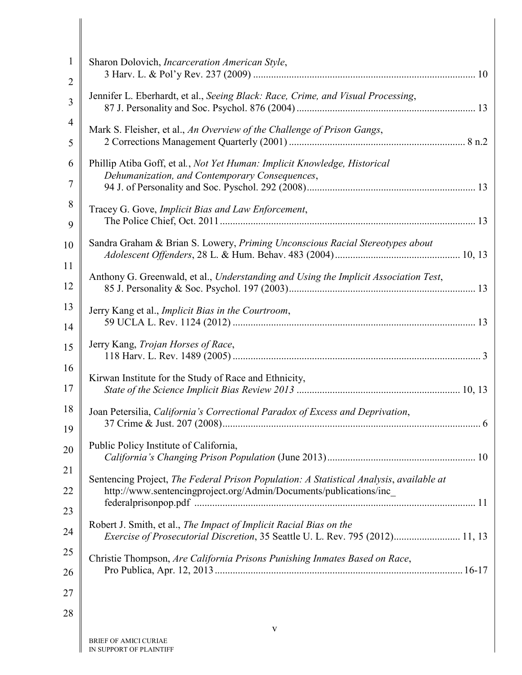| $\mathbf{1}$   | Sharon Dolovich, Incarceration American Style,                                                                                                      |
|----------------|-----------------------------------------------------------------------------------------------------------------------------------------------------|
| $\overline{2}$ |                                                                                                                                                     |
| 3              | Jennifer L. Eberhardt, et al., Seeing Black: Race, Crime, and Visual Processing,                                                                    |
| 4              | Mark S. Fleisher, et al., An Overview of the Challenge of Prison Gangs,                                                                             |
| 5              |                                                                                                                                                     |
| 6              | Phillip Atiba Goff, et al., Not Yet Human: Implicit Knowledge, Historical<br>Dehumanization, and Contemporary Consequences,                         |
| 7              |                                                                                                                                                     |
| 8              | Tracey G. Gove, Implicit Bias and Law Enforcement,                                                                                                  |
| 9              |                                                                                                                                                     |
| 10             | Sandra Graham & Brian S. Lowery, Priming Unconscious Racial Stereotypes about                                                                       |
| 11             | Anthony G. Greenwald, et al., Understanding and Using the Implicit Association Test,                                                                |
| 12             |                                                                                                                                                     |
| 13             | Jerry Kang et al., Implicit Bias in the Courtroom,                                                                                                  |
| 14             |                                                                                                                                                     |
| 15             | Jerry Kang, Trojan Horses of Race,                                                                                                                  |
| 16             | Kirwan Institute for the Study of Race and Ethnicity,                                                                                               |
| 17             |                                                                                                                                                     |
| 18             | Joan Petersilia, California's Correctional Paradox of Excess and Deprivation,                                                                       |
| 19             |                                                                                                                                                     |
| 20             | Public Policy Institute of California,                                                                                                              |
| 21             | Sentencing Project, The Federal Prison Population: A Statistical Analysis, available at                                                             |
| 22             | http://www.sentencingproject.org/Admin/Documents/publications/inc_                                                                                  |
| 23             |                                                                                                                                                     |
| 24             | Robert J. Smith, et al., The Impact of Implicit Racial Bias on the<br>Exercise of Prosecutorial Discretion, 35 Seattle U. L. Rev. 795 (2012) 11, 13 |
| 25             | Christie Thompson, Are California Prisons Punishing Inmates Based on Race,                                                                          |
| 26             |                                                                                                                                                     |
| 27             |                                                                                                                                                     |
| 28             |                                                                                                                                                     |
|                | $\mathbf{V}$                                                                                                                                        |
|                | <b>BRIEF OF AMICI CURIAE</b>                                                                                                                        |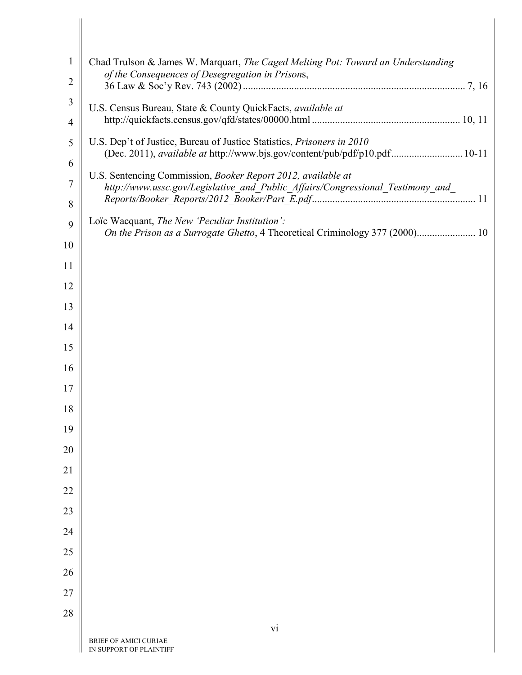| $\mathbf{1}$<br>2 | Chad Trulson & James W. Marquart, The Caged Melting Pot: Toward an Understanding<br>of the Consequences of Desegregation in Prisons,                        |
|-------------------|-------------------------------------------------------------------------------------------------------------------------------------------------------------|
|                   |                                                                                                                                                             |
| 3                 | U.S. Census Bureau, State & County QuickFacts, available at                                                                                                 |
| $\overline{4}$    |                                                                                                                                                             |
| 5                 | U.S. Dep't of Justice, Bureau of Justice Statistics, Prisoners in 2010<br>(Dec. 2011), <i>available at http://www.bjs.gov/content/pub/pdf/p10.pdf</i> 10-11 |
| 6                 | U.S. Sentencing Commission, Booker Report 2012, available at                                                                                                |
| 7                 | http://www.ussc.gov/Legislative_and_Public_Affairs/Congressional_Testimony_and_                                                                             |
| 8                 | Loïc Wacquant, The New 'Peculiar Institution':                                                                                                              |
| 9                 | On the Prison as a Surrogate Ghetto, 4 Theoretical Criminology 377 (2000) 10                                                                                |
| 10                |                                                                                                                                                             |
| 11                |                                                                                                                                                             |
| 12                |                                                                                                                                                             |
| 13                |                                                                                                                                                             |
| 14                |                                                                                                                                                             |
| 15                |                                                                                                                                                             |
| 16                |                                                                                                                                                             |
| 17                |                                                                                                                                                             |
| 18                |                                                                                                                                                             |
| 19                |                                                                                                                                                             |
| 20                |                                                                                                                                                             |
| 21                |                                                                                                                                                             |
| 22                |                                                                                                                                                             |
|                   |                                                                                                                                                             |
| 23                |                                                                                                                                                             |
| 24                |                                                                                                                                                             |
| 25                |                                                                                                                                                             |
| 26                |                                                                                                                                                             |
| 27                |                                                                                                                                                             |
| 28                |                                                                                                                                                             |
|                   | vi                                                                                                                                                          |
|                   | BRIEF OF AMICI CURIAE<br>IN SUPPORT OF PLAINTIFF                                                                                                            |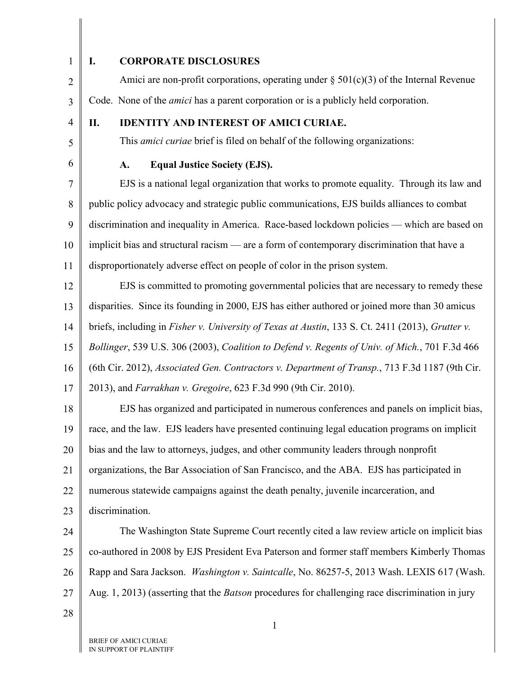1 2

## <span id="page-7-0"></span>**I. CORPORATE DISCLOSURES**

Amici are non-profit corporations, operating under  $\S 501(c)(3)$  of the Internal Revenue Code. None of the *amici* has a parent corporation or is a publicly held corporation.

4

5

6

3

## <span id="page-7-1"></span>**II. IDENTITY AND INTEREST OF AMICI CURIAE.**

This *amici curiae* brief is filed on behalf of the following organizations:

## **A. Equal Justice Society (EJS).**

7 8 9 10 11 EJS is a national legal organization that works to promote equality. Through its law and public policy advocacy and strategic public communications, EJS builds alliances to combat discrimination and inequality in America. Race-based lockdown policies — which are based on implicit bias and structural racism — are a form of contemporary discrimination that have a disproportionately adverse effect on people of color in the prison system.

<span id="page-7-5"></span><span id="page-7-3"></span>12 13 14 15 16 17 EJS is committed to promoting governmental policies that are necessary to remedy these disparities. Since its founding in 2000, EJS has either authored or joined more than 30 amicus briefs, including in *Fisher v. University of Texas at Austin*, 133 S. Ct. 2411 (2013), *Grutter v. Bollinger*, 539 U.S. 306 (2003), *Coalition to Defend v. Regents of Univ. of Mich.*, 701 F.3d 466 (6th Cir. 2012), *Associated Gen. Contractors v. Department of Transp.*, 713 F.3d 1187 (9th Cir. 2013), and *Farrakhan v. Gregoire*, 623 F.3d 990 (9th Cir. 2010).

<span id="page-7-4"></span><span id="page-7-2"></span>18 19 20 21 22 23 EJS has organized and participated in numerous conferences and panels on implicit bias, race, and the law. EJS leaders have presented continuing legal education programs on implicit bias and the law to attorneys, judges, and other community leaders through nonprofit organizations, the Bar Association of San Francisco, and the ABA. EJS has participated in numerous statewide campaigns against the death penalty, juvenile incarceration, and discrimination.

<span id="page-7-6"></span>24 25 26 27 The Washington State Supreme Court recently cited a law review article on implicit bias co-authored in 2008 by EJS President Eva Paterson and former staff members Kimberly Thomas Rapp and Sara Jackson. *Washington v. Saintcalle*, No. 86257-5, 2013 Wash. LEXIS 617 (Wash. Aug. 1, 2013) (asserting that the *Batson* procedures for challenging race discrimination in jury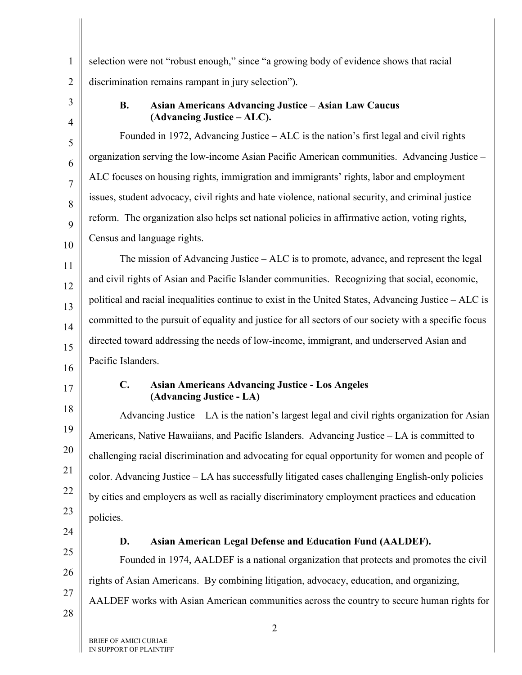1 2 selection were not "robust enough," since "a growing body of evidence shows that racial discrimination remains rampant in jury selection").

3 4

5

6

7

8

9

10

## **B. Asian Americans Advancing Justice – Asian Law Caucus (Advancing Justice – ALC).**

Founded in 1972, Advancing Justice – ALC is the nation's first legal and civil rights organization serving the low-income Asian Pacific American communities. Advancing Justice – ALC focuses on housing rights, immigration and immigrants' rights, labor and employment issues, student advocacy, civil rights and hate violence, national security, and criminal justice reform. The organization also helps set national policies in affirmative action, voting rights, Census and language rights.

11 12 13 14 15 16 The mission of Advancing Justice – ALC is to promote, advance, and represent the legal and civil rights of Asian and Pacific Islander communities. Recognizing that social, economic, political and racial inequalities continue to exist in the United States, Advancing Justice – ALC is committed to the pursuit of equality and justice for all sectors of our society with a specific focus directed toward addressing the needs of low-income, immigrant, and underserved Asian and Pacific Islanders.

17

18

19

20

21

22

23

#### **C. Asian Americans Advancing Justice - Los Angeles (Advancing Justice - LA)**

Advancing Justice – LA is the nation's largest legal and civil rights organization for Asian Americans, Native Hawaiians, and Pacific Islanders. Advancing Justice – LA is committed to challenging racial discrimination and advocating for equal opportunity for women and people of color. Advancing Justice – LA has successfully litigated cases challenging English-only policies by cities and employers as well as racially discriminatory employment practices and education policies.

24 25

26

27

## **D. Asian American Legal Defense and Education Fund (AALDEF).**

Founded in 1974, AALDEF is a national organization that protects and promotes the civil rights of Asian Americans. By combining litigation, advocacy, education, and organizing, AALDEF works with Asian American communities across the country to secure human rights for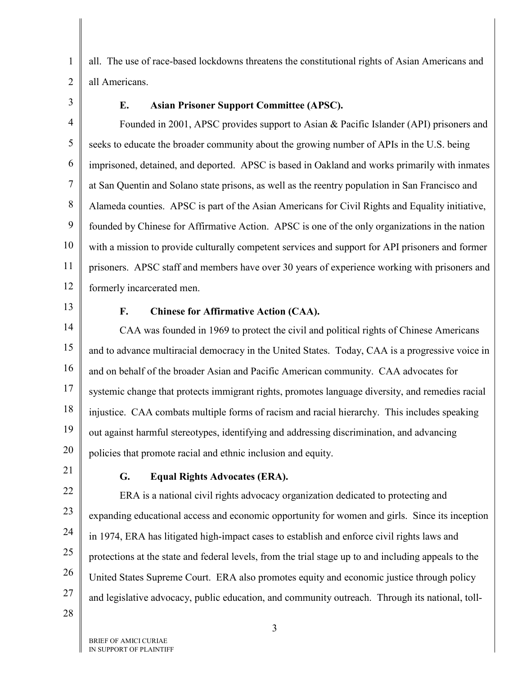1 2 all. The use of race-based lockdowns threatens the constitutional rights of Asian Americans and all Americans.

3

## **E. Asian Prisoner Support Committee (APSC).**

4 5 6 7 8 9 10 11 12 Founded in 2001, APSC provides support to Asian & Pacific Islander (API) prisoners and seeks to educate the broader community about the growing number of APIs in the U.S. being imprisoned, detained, and deported. APSC is based in Oakland and works primarily with inmates at San Quentin and Solano state prisons, as well as the reentry population in San Francisco and Alameda counties. APSC is part of the Asian Americans for Civil Rights and Equality initiative, founded by Chinese for Affirmative Action. APSC is one of the only organizations in the nation with a mission to provide culturally competent services and support for API prisoners and former prisoners. APSC staff and members have over 30 years of experience working with prisoners and formerly incarcerated men.

13

## **F. Chinese for Affirmative Action (CAA).**

14 15 16 17 18 19 20 CAA was founded in 1969 to protect the civil and political rights of Chinese Americans and to advance multiracial democracy in the United States. Today, CAA is a progressive voice in and on behalf of the broader Asian and Pacific American community. CAA advocates for systemic change that protects immigrant rights, promotes language diversity, and remedies racial injustice. CAA combats multiple forms of racism and racial hierarchy. This includes speaking out against harmful stereotypes, identifying and addressing discrimination, and advancing policies that promote racial and ethnic inclusion and equity.

21

## **G. Equal Rights Advocates (ERA).**

22 23 24 25 26 27 ERA is a national civil rights advocacy organization dedicated to protecting and expanding educational access and economic opportunity for women and girls. Since its inception in 1974, ERA has litigated high-impact cases to establish and enforce civil rights laws and protections at the state and federal levels, from the trial stage up to and including appeals to the United States Supreme Court. ERA also promotes equity and economic justice through policy and legislative advocacy, public education, and community outreach. Through its national, toll-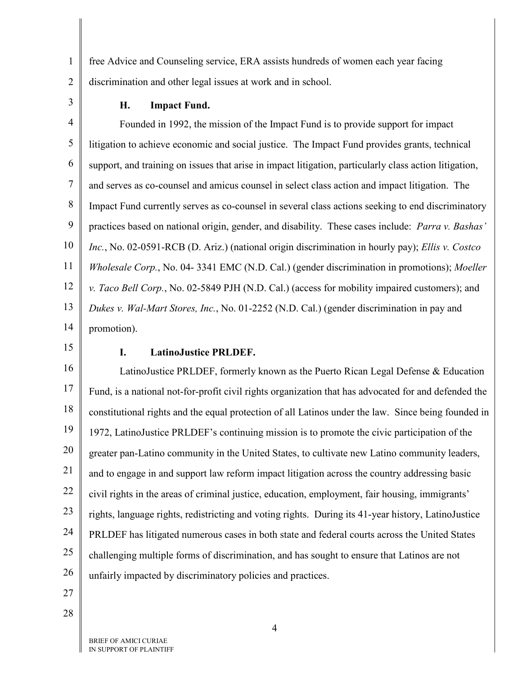1 2 free Advice and Counseling service, ERA assists hundreds of women each year facing discrimination and other legal issues at work and in school.

3

#### **H. Impact Fund.**

4 5 6 7 8 9 10 11 12 13 14 Founded in 1992, the mission of the Impact Fund is to provide support for impact litigation to achieve economic and social justice. The Impact Fund provides grants, technical support, and training on issues that arise in impact litigation, particularly class action litigation, and serves as co-counsel and amicus counsel in select class action and impact litigation. The Impact Fund currently serves as co-counsel in several class actions seeking to end discriminatory practices based on national origin, gender, and disability. These cases include: *Parra v. Bashas' Inc.*, No. 02-0591-RCB (D. Ariz.) (national origin discrimination in hourly pay); *Ellis v. Costco Wholesale Corp.*, No. 04- 3341 EMC (N.D. Cal.) (gender discrimination in promotions); *Moeller v. Taco Bell Corp.*, No. 02-5849 PJH (N.D. Cal.) (access for mobility impaired customers); and *Dukes v. Wal-Mart Stores, Inc.*, No. 01-2252 (N.D. Cal.) (gender discrimination in pay and promotion).

15

#### **I. LatinoJustice PRLDEF.**

16 17 18 19 20 21 22 23 24 25 26 LatinoJustice PRLDEF, formerly known as the Puerto Rican Legal Defense & Education Fund, is a national not-for-profit civil rights organization that has advocated for and defended the constitutional rights and the equal protection of all Latinos under the law. Since being founded in 1972, LatinoJustice PRLDEF's continuing mission is to promote the civic participation of the greater pan-Latino community in the United States, to cultivate new Latino community leaders, and to engage in and support law reform impact litigation across the country addressing basic civil rights in the areas of criminal justice, education, employment, fair housing, immigrants' rights, language rights, redistricting and voting rights. During its 41-year history, LatinoJustice PRLDEF has litigated numerous cases in both state and federal courts across the United States challenging multiple forms of discrimination, and has sought to ensure that Latinos are not unfairly impacted by discriminatory policies and practices.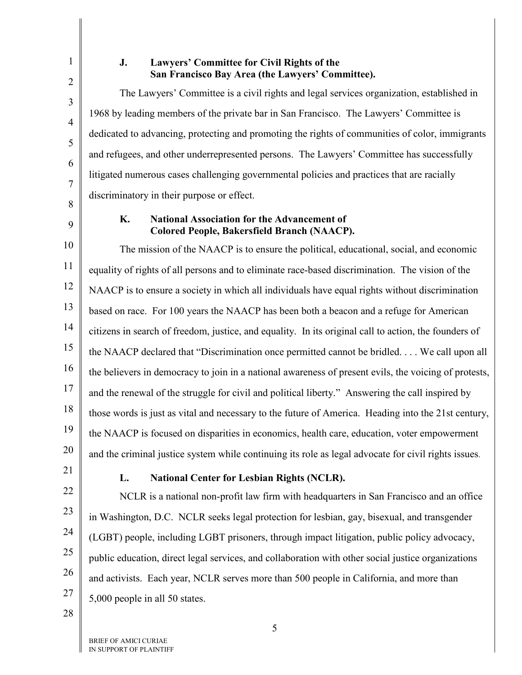1

2

3

4

5

6

7

## **J. Lawyers' Committee for Civil Rights of the San Francisco Bay Area (the Lawyers' Committee).**

The Lawyers' Committee is a civil rights and legal services organization, established in 1968 by leading members of the private bar in San Francisco. The Lawyers' Committee is dedicated to advancing, protecting and promoting the rights of communities of color, immigrants and refugees, and other underrepresented persons. The Lawyers' Committee has successfully litigated numerous cases challenging governmental policies and practices that are racially discriminatory in their purpose or effect.

8 9

## **K. National Association for the Advancement of Colored People, Bakersfield Branch (NAACP).**

10 11 12 13 14 15 16 17 18 19 20 The mission of the NAACP is to ensure the political, educational, social, and economic equality of rights of all persons and to eliminate race-based discrimination. The vision of the NAACP is to ensure a society in which all individuals have equal rights without discrimination based on race. For 100 years the NAACP has been both a beacon and a refuge for American citizens in search of freedom, justice, and equality. In its original call to action, the founders of the NAACP declared that "Discrimination once permitted cannot be bridled. . . . We call upon all the believers in democracy to join in a national awareness of present evils, the voicing of protests, and the renewal of the struggle for civil and political liberty." Answering the call inspired by those words is just as vital and necessary to the future of America. Heading into the 21st century, the NAACP is focused on disparities in economics, health care, education, voter empowerment and the criminal justice system while continuing its role as legal advocate for civil rights issues.

21

22

23

24

25

26

27

## **L. National Center for Lesbian Rights (NCLR).**

NCLR is a national non-profit law firm with headquarters in San Francisco and an office in Washington, D.C. NCLR seeks legal protection for lesbian, gay, bisexual, and transgender (LGBT) people, including LGBT prisoners, through impact litigation, public policy advocacy, public education, direct legal services, and collaboration with other social justice organizations and activists. Each year, NCLR serves more than 500 people in California, and more than 5,000 people in all 50 states.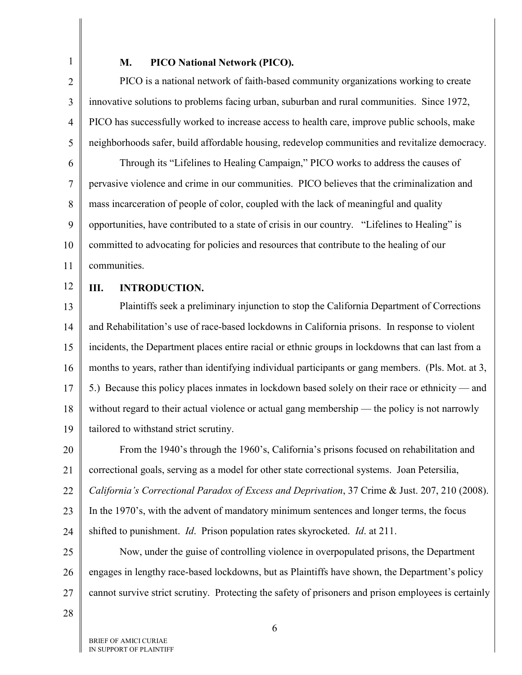1

#### **M. PICO National Network (PICO).**

2 3 4 5 PICO is a national network of faith-based community organizations working to create innovative solutions to problems facing urban, suburban and rural communities. Since 1972, PICO has successfully worked to increase access to health care, improve public schools, make neighborhoods safer, build affordable housing, redevelop communities and revitalize democracy.

6 7 8 9 10 11 Through its "Lifelines to Healing Campaign," PICO works to address the causes of pervasive violence and crime in our communities. PICO believes that the criminalization and mass incarceration of people of color, coupled with the lack of meaningful and quality opportunities, have contributed to a state of crisis in our country. "Lifelines to Healing" is committed to advocating for policies and resources that contribute to the healing of our communities.

12

#### <span id="page-12-0"></span>**III. INTRODUCTION.**

13 14 15 16 17 18 19 Plaintiffs seek a preliminary injunction to stop the California Department of Corrections and Rehabilitation's use of race-based lockdowns in California prisons. In response to violent incidents, the Department places entire racial or ethnic groups in lockdowns that can last from a months to years, rather than identifying individual participants or gang members. (Pls. Mot. at 3, 5.) Because this policy places inmates in lockdown based solely on their race or ethnicity — and without regard to their actual violence or actual gang membership — the policy is not narrowly tailored to withstand strict scrutiny.

<span id="page-12-1"></span>20 21 22 23 From the 1940's through the 1960's, California's prisons focused on rehabilitation and correctional goals, serving as a model for other state correctional systems. Joan Petersilia, *California's Correctional Paradox of Excess and Deprivation*, 37 Crime & Just. 207, 210 (2008). In the 1970's, with the advent of mandatory minimum sentences and longer terms, the focus

24 shifted to punishment. *Id*. Prison population rates skyrocketed. *Id*. at 211.

25 26 27 Now, under the guise of controlling violence in overpopulated prisons, the Department engages in lengthy race-based lockdowns, but as Plaintiffs have shown, the Department's policy cannot survive strict scrutiny. Protecting the safety of prisoners and prison employees is certainly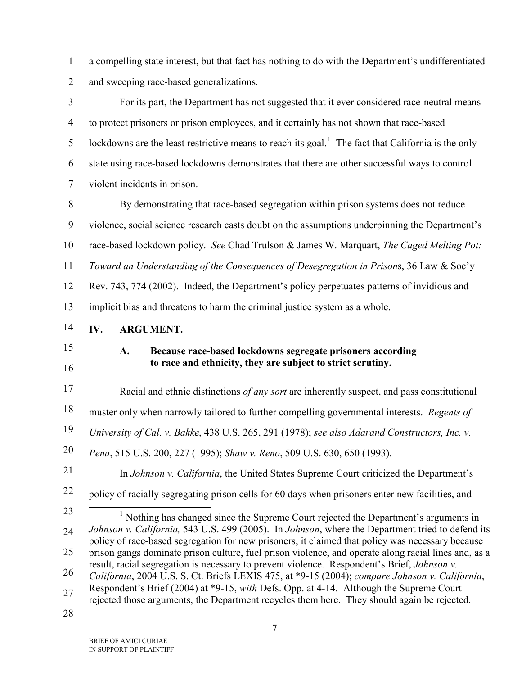1 2 a compelling state interest, but that fact has nothing to do with the Department's undifferentiated and sweeping race-based generalizations.

3 4 5 6 7 For its part, the Department has not suggested that it ever considered race-neutral means to protect prisoners or prison employees, and it certainly has not shown that race-based lockdowns are the least restrictive means to reach its goal.<sup>[1](#page-13-7)</sup> The fact that California is the only state using race-based lockdowns demonstrates that there are other successful ways to control violent incidents in prison.

8 9 10 11 12 13 By demonstrating that race-based segregation within prison systems does not reduce violence, social science research casts doubt on the assumptions underpinning the Department's race-based lockdown policy. *See* Chad Trulson & James W. Marquart, *The Caged Melting Pot: Toward an Understanding of the Consequences of Desegregation in Prison*s, 36 Law & Soc'y Rev. 743, 774 (2002). Indeed, the Department's policy perpetuates patterns of invidious and implicit bias and threatens to harm the criminal justice system as a whole.

- <span id="page-13-0"></span>14 **IV. ARGUMENT.**
- <span id="page-13-1"></span>15

16

# **A. Because race-based lockdowns segregate prisoners according**

## <span id="page-13-6"></span><span id="page-13-5"></span><span id="page-13-2"></span>**to race and ethnicity, they are subject to strict scrutiny.**

17 18 19 20 21 Racial and ethnic distinctions *of any sort* are inherently suspect, and pass constitutional muster only when narrowly tailored to further compelling governmental interests. *Regents of University of Cal. v. Bakke*, 438 U.S. 265, 291 (1978); *see also Adarand Constructors, Inc. v. Pena*, 515 U.S. 200, 227 (1995); *Shaw v. Reno*, 509 U.S. 630, 650 (1993). In *Johnson v. California*, the United States Supreme Court criticized the Department's

22

<span id="page-13-4"></span>policy of racially segregating prison cells for 60 days when prisoners enter new facilities, and

<span id="page-13-7"></span><span id="page-13-3"></span>23 24 25 26 27 <sup>1</sup> Nothing has changed since the Supreme Court rejected the Department's arguments in *Johnson v. California,* 543 U.S. 499 (2005). In *Johnson*, where the Department tried to defend its policy of race-based segregation for new prisoners, it claimed that policy was necessary because prison gangs dominate prison culture, fuel prison violence, and operate along racial lines and, as a result, racial segregation is necessary to prevent violence. Respondent's Brief, *Johnson v. California*, 2004 U.S. S. Ct. Briefs LEXIS 475, at \*9-15 (2004); *compare Johnson v. California*, Respondent's Brief (2004) at \*9-15, *with* Defs. Opp. at 4-14. Although the Supreme Court rejected those arguments, the Department recycles them here. They should again be rejected.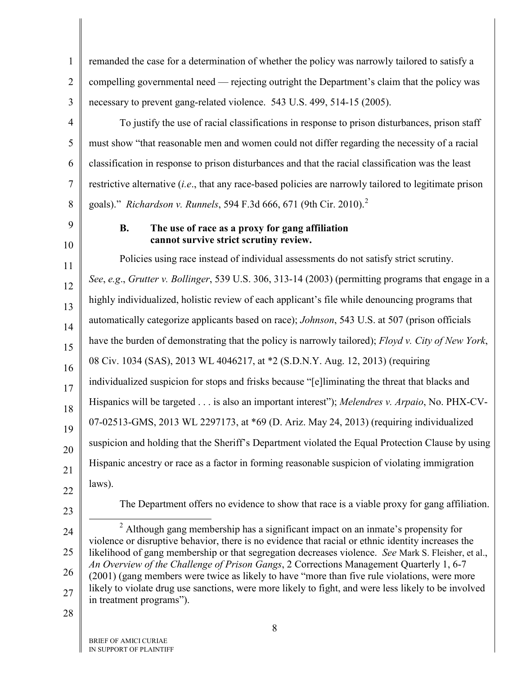<span id="page-14-3"></span><span id="page-14-2"></span><span id="page-14-1"></span><span id="page-14-0"></span>

| $\mathbf{1}$   | remanded the case for a determination of whether the policy was narrowly tailored to satisfy a                                                                                                            |
|----------------|-----------------------------------------------------------------------------------------------------------------------------------------------------------------------------------------------------------|
| $\overline{2}$ | compelling governmental need — rejecting outright the Department's claim that the policy was                                                                                                              |
| 3              | necessary to prevent gang-related violence. 543 U.S. 499, 514-15 (2005).                                                                                                                                  |
| $\overline{4}$ | To justify the use of racial classifications in response to prison disturbances, prison staff                                                                                                             |
| 5              | must show "that reasonable men and women could not differ regarding the necessity of a racial                                                                                                             |
| 6              | classification in response to prison disturbances and that the racial classification was the least                                                                                                        |
| $\tau$         | restrictive alternative <i>(i.e., that any race-based policies are narrowly tailored to legitimate prison</i>                                                                                             |
| 8              | goals)." Richardson v. Runnels, 594 F.3d 666, 671 (9th Cir. 2010). <sup>2</sup>                                                                                                                           |
| 9<br>10        | The use of race as a proxy for gang affiliation<br><b>B.</b><br>cannot survive strict scrutiny review.                                                                                                    |
| 11             | Policies using race instead of individual assessments do not satisfy strict scrutiny.                                                                                                                     |
| 12             | See, e.g., Grutter v. Bollinger, 539 U.S. 306, 313-14 (2003) (permitting programs that engage in a                                                                                                        |
| 13             | highly individualized, holistic review of each applicant's file while denouncing programs that                                                                                                            |
| 14             | automatically categorize applicants based on race); <i>Johnson</i> , 543 U.S. at 507 (prison officials                                                                                                    |
| 15             | have the burden of demonstrating that the policy is narrowly tailored); Floyd v. City of New York,                                                                                                        |
| 16             | 08 Civ. 1034 (SAS), 2013 WL 4046217, at *2 (S.D.N.Y. Aug. 12, 2013) (requiring                                                                                                                            |
| 17             | individualized suspicion for stops and frisks because "[e]liminating the threat that blacks and                                                                                                           |
| 18             | Hispanics will be targeted is also an important interest"); Melendres v. Arpaio, No. PHX-CV-                                                                                                              |
| 19             | 07-02513-GMS, 2013 WL 2297173, at *69 (D. Ariz. May 24, 2013) (requiring individualized                                                                                                                   |
| 20             | suspicion and holding that the Sheriff's Department violated the Equal Protection Clause by using                                                                                                         |
| 21             | Hispanic ancestry or race as a factor in forming reasonable suspicion of violating immigration                                                                                                            |
| 22             | laws).                                                                                                                                                                                                    |
| 23             | The Department offers no evidence to show that race is a viable proxy for gang affiliation.                                                                                                               |
| 24             | $2$ Although gang membership has a significant impact on an inmate's propensity for                                                                                                                       |
| 25             | violence or disruptive behavior, there is no evidence that racial or ethnic identity increases the<br>likelihood of gang membership or that segregation decreases violence. See Mark S. Fleisher, et al., |
| 26             | An Overview of the Challenge of Prison Gangs, 2 Corrections Management Quarterly 1, 6-7<br>(2001) (gang members were twice as likely to have "more than five rule violations, were more                   |
| 27             | likely to violate drug use sanctions, were more likely to fight, and were less likely to be involved<br>in treatment programs").                                                                          |
| 28             |                                                                                                                                                                                                           |
|                | 8<br><b>RDIEE OF AMICI CURIAE</b>                                                                                                                                                                         |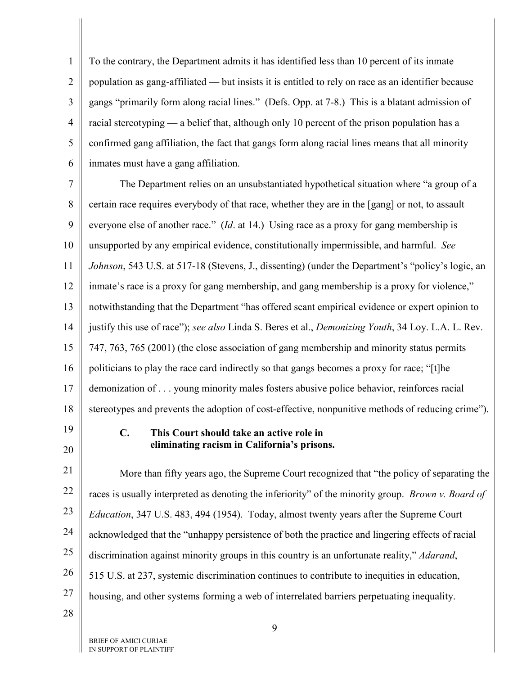1 2 3 4 5 6 To the contrary, the Department admits it has identified less than 10 percent of its inmate population as gang-affiliated — but insists it is entitled to rely on race as an identifier because gangs "primarily form along racial lines." (Defs. Opp. at 7-8.) This is a blatant admission of racial stereotyping — a belief that, although only 10 percent of the prison population has a confirmed gang affiliation, the fact that gangs form along racial lines means that all minority inmates must have a gang affiliation.

7 8 9 10 11 12 13 14 15 16 17 18 The Department relies on an unsubstantiated hypothetical situation where "a group of a certain race requires everybody of that race, whether they are in the [gang] or not, to assault everyone else of another race." (*Id*. at 14.) Using race as a proxy for gang membership is unsupported by any empirical evidence, constitutionally impermissible, and harmful. *See Johnson*, 543 U.S. at 517-18 (Stevens, J., dissenting) (under the Department's "policy's logic, an inmate's race is a proxy for gang membership, and gang membership is a proxy for violence," notwithstanding that the Department "has offered scant empirical evidence or expert opinion to justify this use of race"); *see also* Linda S. Beres et al., *Demonizing Youth*, 34 Loy. L.A. L. Rev. 747, 763, 765 (2001) (the close association of gang membership and minority status permits politicians to play the race card indirectly so that gangs becomes a proxy for race; "[t]he demonization of . . . young minority males fosters abusive police behavior, reinforces racial stereotypes and prevents the adoption of cost-effective, nonpunitive methods of reducing crime").

<span id="page-15-0"></span>19 20

## <span id="page-15-1"></span>**C. This Court should take an active role in eliminating racism in California's prisons.**

21 22 23 24 25 26 27 More than fifty years ago, the Supreme Court recognized that "the policy of separating the races is usually interpreted as denoting the inferiority" of the minority group. *Brown v. Board of Education*, 347 U.S. 483, 494 (1954). Today, almost twenty years after the Supreme Court acknowledged that the "unhappy persistence of both the practice and lingering effects of racial discrimination against minority groups in this country is an unfortunate reality," *Adarand*, 515 U.S. at 237, systemic discrimination continues to contribute to inequities in education, housing, and other systems forming a web of interrelated barriers perpetuating inequality.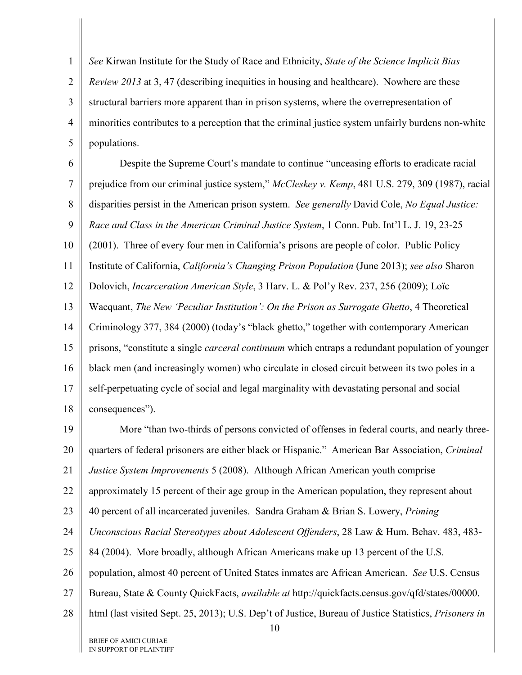1 2 3 4 5 *See* Kirwan Institute for the Study of Race and Ethnicity, *State of the Science Implicit Bias Review 2013* at 3,47 (describing inequities in housing and healthcare). Nowhere are these structural barriers more apparent than in prison systems, where the overrepresentation of minorities contributes to a perception that the criminal justice system unfairly burdens non-white populations.

6 7 8 9 10 11 12 13 14 15 16 17 18 Despite the Supreme Court's mandate to continue "unceasing efforts to eradicate racial prejudice from our criminal justice system," *McCleskey v. Kemp*, 481 U.S. 279, 309 (1987), racial disparities persist in the American prison system. *See generally* David Cole, *No Equal Justice: Race and Class in the American Criminal Justice System*, 1 Conn. Pub. Int'l L. J. 19, 23-25 (2001). Three of every four men in California's prisons are people of color. Public Policy Institute of California, *California's Changing Prison Population* (June 2013); *see also* Sharon Dolovich, *Incarceration American Style*, 3 Harv. L. & Pol'y Rev. 237, 256 (2009); Loïc Wacquant, *The New 'Peculiar Institution': On the Prison as Surrogate Ghetto*, 4 Theoretical Criminology 377, 384 (2000) (today's "black ghetto," together with contemporary American prisons, "constitute a single *carceral continuum* which entraps a redundant population of younger black men (and increasingly women) who circulate in closed circuit between its two poles in a self-perpetuating cycle of social and legal marginality with devastating personal and social consequences").

<span id="page-16-0"></span>19 20 21 22 23 24 25 26 27 28 10 More "than two-thirds of persons convicted of offenses in federal courts, and nearly threequarters of federal prisoners are either black or Hispanic." American Bar Association, *Criminal Justice System Improvements* 5 (2008). Although African American youth comprise approximately 15 percent of their age group in the American population, they represent about 40 percent of all incarcerated juveniles. Sandra Graham & Brian S. Lowery, *Priming Unconscious Racial Stereotypes about Adolescent Offenders*, 28 Law & Hum. Behav. 483, 483- 84 (2004). More broadly, although African Americans make up 13 percent of the U.S. population, almost 40 percent of United States inmates are African American. *See* U.S. Census Bureau, State & County QuickFacts, *available at* http://quickfacts.census.gov/qfd/states/00000. html (last visited Sept. 25, 2013); U.S. Dep't of Justice, Bureau of Justice Statistics, *Prisoners in*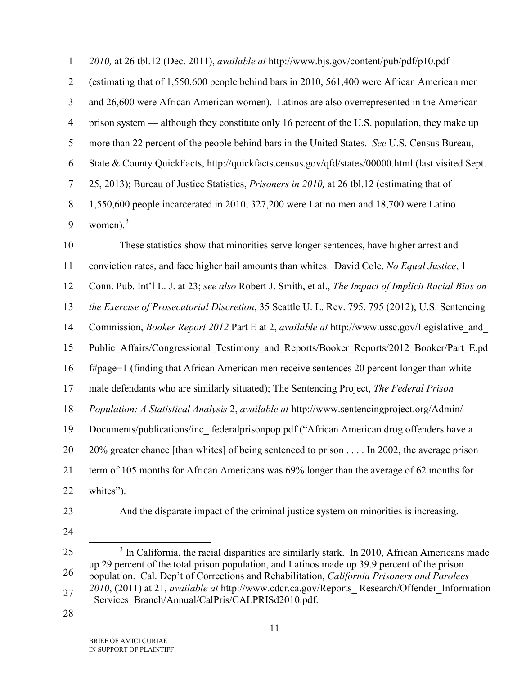<span id="page-17-3"></span>

| (estimating that of 1,550,600 people behind bars in 2010, 561,400 were African American men                                                                                                 |
|---------------------------------------------------------------------------------------------------------------------------------------------------------------------------------------------|
|                                                                                                                                                                                             |
| and 26,600 were African American women). Latinos are also overrepresented in the American                                                                                                   |
| prison system — although they constitute only 16 percent of the U.S. population, they make up                                                                                               |
| more than 22 percent of the people behind bars in the United States. See U.S. Census Bureau,                                                                                                |
| State & County QuickFacts, http://quickfacts.census.gov/qfd/states/00000.html (last visited Sept.                                                                                           |
| 25, 2013); Bureau of Justice Statistics, Prisoners in 2010, at 26 tbl.12 (estimating that of                                                                                                |
| 1,550,600 people incarcerated in 2010, 327,200 were Latino men and 18,700 were Latino                                                                                                       |
| women). $3$                                                                                                                                                                                 |
| These statistics show that minorities serve longer sentences, have higher arrest and                                                                                                        |
| conviction rates, and face higher bail amounts than whites. David Cole, No Equal Justice, 1                                                                                                 |
| Conn. Pub. Int'l L. J. at 23; see also Robert J. Smith, et al., The Impact of Implicit Racial Bias on                                                                                       |
| the Exercise of Prosecutorial Discretion, 35 Seattle U. L. Rev. 795, 795 (2012); U.S. Sentencing                                                                                            |
| Commission, Booker Report 2012 Part E at 2, available at http://www.ussc.gov/Legislative_and_                                                                                               |
| Public_Affairs/Congressional_Testimony_and_Reports/Booker_Reports/2012_Booker/Part_E.pd                                                                                                     |
| f#page=1 (finding that African American men receive sentences 20 percent longer than white                                                                                                  |
| male defendants who are similarly situated); The Sentencing Project, The Federal Prison                                                                                                     |
| Population: A Statistical Analysis 2, available at http://www.sentencingproject.org/Admin/                                                                                                  |
| Documents/publications/inc_federalprisonpop.pdf ("African American drug offenders have a                                                                                                    |
| 20% greater chance [than whites] of being sentenced to prison In 2002, the average prison                                                                                                   |
| term of 105 months for African Americans was 69% longer than the average of 62 months for                                                                                                   |
| whites").                                                                                                                                                                                   |
| And the disparate impact of the criminal justice system on minorities is increasing.                                                                                                        |
|                                                                                                                                                                                             |
| In California, the racial disparities are similarly stark. In 2010, African Americans made                                                                                                  |
| up 29 percent of the total prison population, and Latinos made up 39.9 percent of the prison<br>population. Cal. Dep't of Corrections and Rehabilitation, California Prisoners and Parolees |
| 2010, (2011) at 21, available at http://www.cdcr.ca.gov/Reports_Research/Offender_Information<br>_Services_Branch/Annual/CalPris/CALPRISd2010.pdf.                                          |
|                                                                                                                                                                                             |
| 11<br>BRIEF OF AMICI CURIAE                                                                                                                                                                 |
|                                                                                                                                                                                             |

<span id="page-17-4"></span><span id="page-17-2"></span><span id="page-17-1"></span><span id="page-17-0"></span>IN SUPPORT OF PLAINTIFF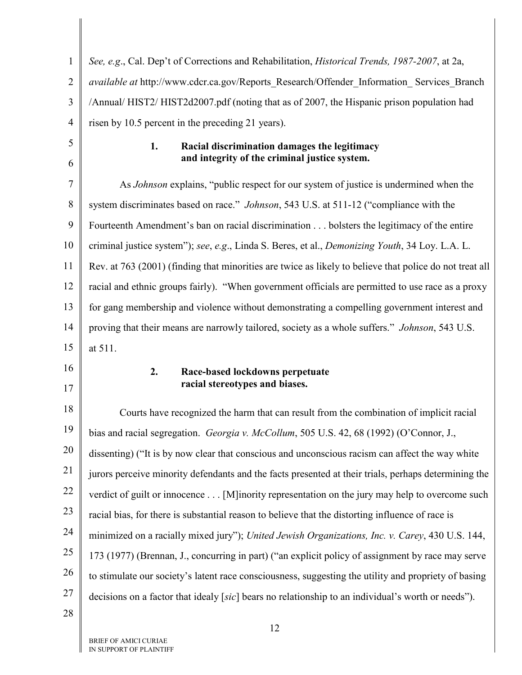<span id="page-18-4"></span><span id="page-18-0"></span>

| 1              | See, e.g., Cal. Dep't of Corrections and Rehabilitation, Historical Trends, 1987-2007, at 2a,           |
|----------------|---------------------------------------------------------------------------------------------------------|
| $\overline{2}$ | available at http://www.cdcr.ca.gov/Reports_Research/Offender_Information_Services_Branch               |
| 3              | /Annual/HIST2/HIST2d2007.pdf (noting that as of 2007, the Hispanic prison population had                |
| $\overline{4}$ | risen by 10.5 percent in the preceding 21 years).                                                       |
| 5              | 1.<br>Racial discrimination damages the legitimacy                                                      |
| 6              | and integrity of the criminal justice system.                                                           |
| 7              | As <i>Johnson</i> explains, "public respect for our system of justice is undermined when the            |
| 8              | system discriminates based on race." <i>Johnson</i> , 543 U.S. at 511-12 ("compliance with the          |
| 9              | Fourteenth Amendment's ban on racial discrimination bolsters the legitimacy of the entire               |
| 10             | criminal justice system"); see, e.g., Linda S. Beres, et al., Demonizing Youth, 34 Loy. L.A. L.         |
| 11             | Rev. at 763 (2001) (finding that minorities are twice as likely to believe that police do not treat all |
| 12             | racial and ethnic groups fairly). "When government officials are permitted to use race as a proxy       |
| 13             | for gang membership and violence without demonstrating a compelling government interest and             |
| 14             | proving that their means are narrowly tailored, society as a whole suffers." <i>Johnson</i> , 543 U.S.  |
| 15             | at 511.                                                                                                 |
| 16             | 2.<br>Race-based lockdowns perpetuate                                                                   |
| 17             | racial stereotypes and biases.                                                                          |
| 18             | Courts have recognized the harm that can result from the combination of implicit racial                 |
| 19             | bias and racial segregation. Georgia v. McCollum, 505 U.S. 42, 68 (1992) (O'Connor, J.,                 |
| 20             | dissenting) ("It is by now clear that conscious and unconscious racism can affect the way white         |
| 21             | jurors perceive minority defendants and the facts presented at their trials, perhaps determining the    |
| 22             | verdict of guilt or innocence [M]inority representation on the jury may help to overcome such           |
| 23             | racial bias, for there is substantial reason to believe that the distorting influence of race is        |
| 24             | minimized on a racially mixed jury"); United Jewish Organizations, Inc. v. Carey, 430 U.S. 144,         |
| 25             | 173 (1977) (Brennan, J., concurring in part) ("an explicit policy of assignment by race may serve       |
| 26             | to stimulate our society's latent race consciousness, suggesting the utility and propriety of basing    |
| 27             | decisions on a factor that idealy [sic] bears no relationship to an individual's worth or needs").      |
| 28             |                                                                                                         |

<span id="page-18-3"></span><span id="page-18-2"></span><span id="page-18-1"></span>Ш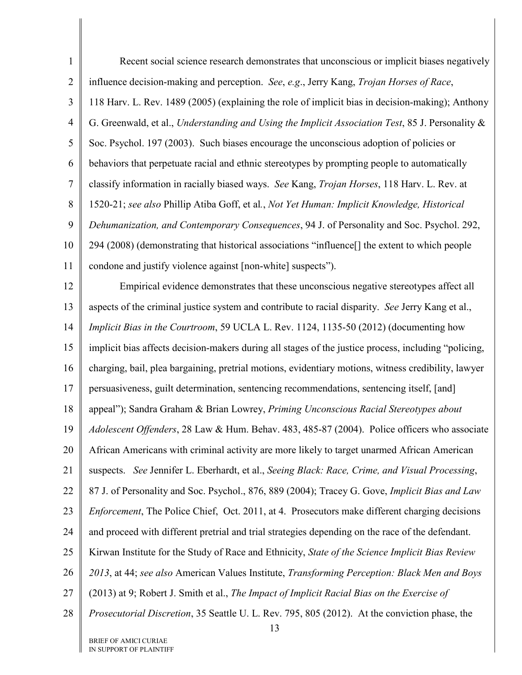<span id="page-19-2"></span><span id="page-19-1"></span><span id="page-19-0"></span>1 2 3 4 5 6 7 8 9 10 11 12 13 14 15 16 17 18 19 20 Recent social science research demonstrates that unconscious or implicit biases negatively influence decision-making and perception. *See*, *e.g*., Jerry Kang, *Trojan Horses of Race*, 118 Harv. L. Rev. 1489 (2005) (explaining the role of implicit bias in decision-making); Anthony G. Greenwald, et al., *Understanding and Using the Implicit Association Test*, 85 J. Personality & Soc. Psychol. 197 (2003). Such biases encourage the unconscious adoption of policies or behaviors that perpetuate racial and ethnic stereotypes by prompting people to automatically classify information in racially biased ways. *See* Kang, *Trojan Horses*, 118 Harv. L. Rev. at 1520-21; *see also* Phillip Atiba Goff, et al*.*, *Not Yet Human: Implicit Knowledge, Historical Dehumanization, and Contemporary Consequences*, 94 J. of Personality and Soc. Psychol. 292, 294 (2008) (demonstrating that historical associations "influence[] the extent to which people condone and justify violence against [non-white] suspects"). Empirical evidence demonstrates that these unconscious negative stereotypes affect all aspects of the criminal justice system and contribute to racial disparity. *See* Jerry Kang et al., *Implicit Bias in the Courtroom*, 59 UCLA L. Rev. 1124, 1135-50 (2012) (documenting how implicit bias affects decision-makers during all stages of the justice process, including "policing, charging, bail, plea bargaining, pretrial motions, evidentiary motions, witness credibility, lawyer persuasiveness, guilt determination, sentencing recommendations, sentencing itself, [and] appeal"); Sandra Graham & Brian Lowrey, *Priming Unconscious Racial Stereotypes about Adolescent Offenders*, 28 Law & Hum. Behav. 483, 485-87 (2004). Police officers who associate African Americans with criminal activity are more likely to target unarmed African American

21 suspects. *See* Jennifer L. Eberhardt, et al., *Seeing Black: Race, Crime, and Visual Processing*,

22 87 J. of Personality and Soc. Psychol., 876, 889 (2004); Tracey G. Gove, *Implicit Bias and Law* 

23 *Enforcement*, The Police Chief, Oct. 2011, at 4. Prosecutors make different charging decisions

24 and proceed with different pretrial and trial strategies depending on the race of the defendant.

25 Kirwan Institute for the Study of Race and Ethnicity, *State of the Science Implicit Bias Review* 

26 *2013*, at 44; *see also* American Values Institute, *Transforming Perception: Black Men and Boys*

27 (2013) at 9; Robert J. Smith et al., *The Impact of Implicit Racial Bias on the Exercise of* 

28 *Prosecutorial Discretion*, 35 Seattle U. L. Rev. 795, 805 (2012). At the conviction phase, the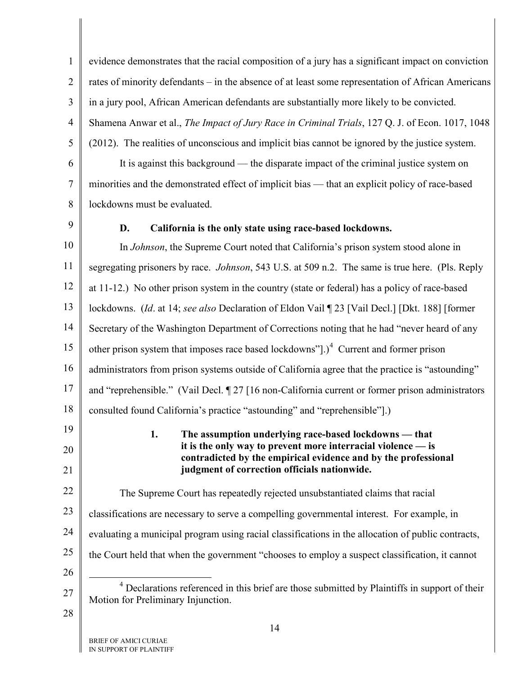<span id="page-20-2"></span><span id="page-20-1"></span><span id="page-20-0"></span>1 2 3 4 5 6 7 8 9 10 11 12 13 14 15 16 17 18 19 20 21 22 23 24 25 26 27 28 evidence demonstrates that the racial composition of a jury has a significant impact on conviction rates of minority defendants – in the absence of at least some representation of African Americans in a jury pool, African American defendants are substantially more likely to be convicted. Shamena Anwar et al., *The Impact of Jury Race in Criminal Trials*, 127 Q. J. of Econ. 1017, 1048 (2012). The realities of unconscious and implicit bias cannot be ignored by the justice system. It is against this background — the disparate impact of the criminal justice system on minorities and the demonstrated effect of implicit bias — that an explicit policy of race-based lockdowns must be evaluated. **D. California is the only state using race-based lockdowns.**  In *Johnson*, the Supreme Court noted that California's prison system stood alone in segregating prisoners by race. *Johnson*, 543 U.S. at 509 n.2. The same is true here. (Pls. Reply at 11-12.) No other prison system in the country (state or federal) has a policy of race-based lockdowns. (*Id*. at 14; *see also* Declaration of Eldon Vail ¶ 23 [Vail Decl.] [Dkt. 188] [former Secretary of the Washington Department of Corrections noting that he had "never heard of any other prison system that imposes race based lockdowns"]. $)^4$  $)^4$  Current and former prison administrators from prison systems outside of California agree that the practice is "astounding" and "reprehensible." (Vail Decl. ¶ 27 [16 non-California current or former prison administrators consulted found California's practice "astounding" and "reprehensible"].) **1. The assumption underlying race-based lockdowns — that it is the only way to prevent more interracial violence — is contradicted by the empirical evidence and by the professional judgment of correction officials nationwide.** The Supreme Court has repeatedly rejected unsubstantiated claims that racial classifications are necessary to serve a compelling governmental interest. For example, in evaluating a municipal program using racial classifications in the allocation of public contracts, the Court held that when the government "chooses to employ a suspect classification, it cannot <sup>4</sup> Declarations referenced in this brief are those submitted by Plaintiffs in support of their Motion for Preliminary Injunction.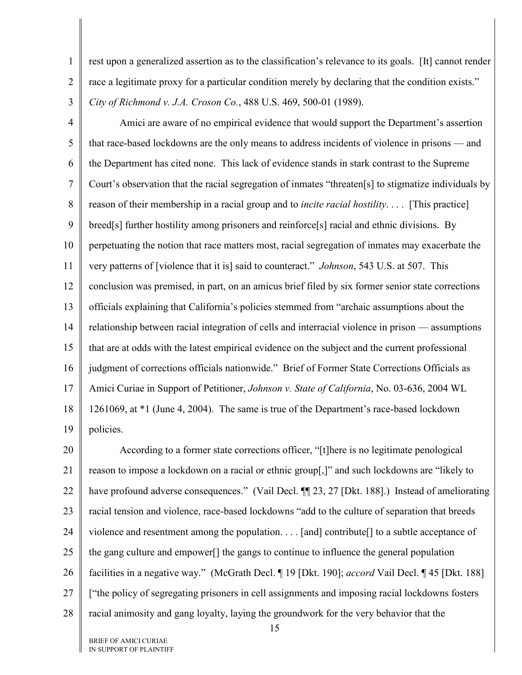1 2 rest upon a generalized assertion as to the classification's relevance to its goals. [It] cannot render race a legitimate proxy for a particular condition merely by declaring that the condition exists." *City of Richmond v. J.A. Croson Co.*, 488 U.S. 469, 500-01 (1989).

<span id="page-21-0"></span>3

4 5 6 7 8 9 10 11 12 13 14 15 16 17 18 19 Amici are aware of no empirical evidence that would support the Department's assertion that race-based lockdowns are the only means to address incidents of violence in prisons — and the Department has cited none. This lack of evidence stands in stark contrast to the Supreme Court's observation that the racial segregation of inmates "threaten[s] to stigmatize individuals by reason of their membership in a racial group and to *incite racial hostility*. . . . [This practice] breed[s] further hostility among prisoners and reinforce[s] racial and ethnic divisions. By perpetuating the notion that race matters most, racial segregation of inmates may exacerbate the very patterns of [violence that it is] said to counteract." *Johnson*, 543 U.S. at 507. This conclusion was premised, in part, on an amicus brief filed by six former senior state corrections officials explaining that California's policies stemmed from "archaic assumptions about the relationship between racial integration of cells and interracial violence in prison — assumptions that are at odds with the latest empirical evidence on the subject and the current professional judgment of corrections officials nationwide." Brief of Former State Corrections Officials as Amici Curiae in Support of Petitioner, *Johnson v. State of California*, No. 03-636, 2004 WL 1261069, at \*1 (June 4, 2004). The same is true of the Department's race-based lockdown policies.

<span id="page-21-1"></span>20 21 22 23 24 25 26 27 28 According to a former state corrections officer, "[t]here is no legitimate penological reason to impose a lockdown on a racial or ethnic group[,]" and such lockdowns are "likely to have profound adverse consequences." (Vail Decl. ¶ 23, 27 [Dkt. 188].) Instead of ameliorating racial tension and violence, race-based lockdowns "add to the culture of separation that breeds violence and resentment among the population. . . . [and] contribute[] to a subtle acceptance of the gang culture and empower[] the gangs to continue to influence the general population facilities in a negative way." (McGrath Decl. ¶ 19 [Dkt. 190]; *accord* Vail Decl. ¶ 45 [Dkt. 188] ["the policy of segregating prisoners in cell assignments and imposing racial lockdowns fosters racial animosity and gang loyalty, laying the groundwork for the very behavior that the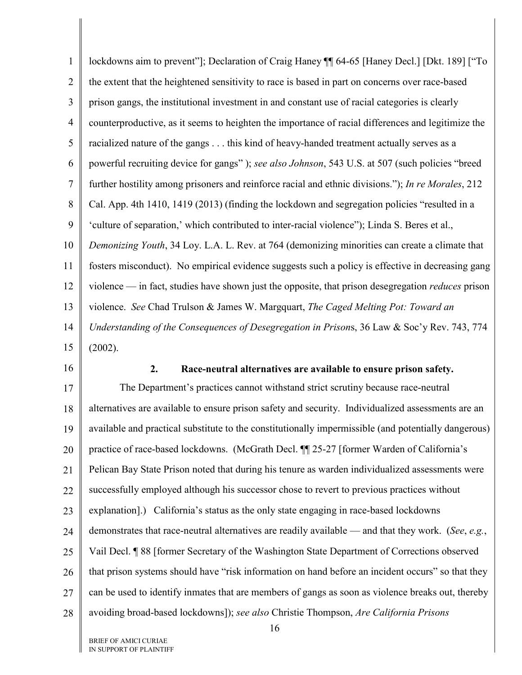<span id="page-22-2"></span><span id="page-22-1"></span><span id="page-22-0"></span>

| $\mathbf{1}$   | lockdowns aim to prevent"]; Declaration of Craig Haney ¶ 64-65 [Haney Decl.] [Dkt. 189] ["To              |
|----------------|-----------------------------------------------------------------------------------------------------------|
| $\overline{2}$ | the extent that the heightened sensitivity to race is based in part on concerns over race-based           |
| 3              | prison gangs, the institutional investment in and constant use of racial categories is clearly            |
| $\overline{4}$ | counterproductive, as it seems to heighten the importance of racial differences and legitimize the        |
| 5              | racialized nature of the gangs this kind of heavy-handed treatment actually serves as a                   |
| 6              | powerful recruiting device for gangs"); see also Johnson, 543 U.S. at 507 (such policies "breed           |
| $\overline{7}$ | further hostility among prisoners and reinforce racial and ethnic divisions."); In re Morales, 212        |
| 8              | Cal. App. 4th 1410, 1419 (2013) (finding the lockdown and segregation policies "resulted in a             |
| 9              | 'culture of separation,' which contributed to inter-racial violence"); Linda S. Beres et al.,             |
| 10             | Demonizing Youth, 34 Loy. L.A. L. Rev. at 764 (demonizing minorities can create a climate that            |
| 11             | fosters misconduct). No empirical evidence suggests such a policy is effective in decreasing gang         |
| 12             | violence — in fact, studies have shown just the opposite, that prison desegregation <i>reduces</i> prison |
| 13             | violence. See Chad Trulson & James W. Margquart, The Caged Melting Pot: Toward an                         |
| 14             | Understanding of the Consequences of Desegregation in Prisons, 36 Law & Soc'y Rev. 743, 774               |
| 15             | (2002).                                                                                                   |
|                |                                                                                                           |
| 16             | 2.<br>Race-neutral alternatives are available to ensure prison safety.                                    |
| 17             | The Department's practices cannot withstand strict scrutiny because race-neutral                          |
| 18             | alternatives are available to ensure prison safety and security. Individualized assessments are an        |
| 19             | available and practical substitute to the constitutionally impermissible (and potentially dangerous)      |
| 20             | practice of race-based lockdowns. (McGrath Decl. ¶ 25-27 [former Warden of California's                   |
| 21             | Pelican Bay State Prison noted that during his tenure as warden individualized assessments were           |
| 22             | successfully employed although his successor chose to revert to previous practices without                |
| 23             | explanation].) California's status as the only state engaging in race-based lockdowns                     |
| 24             | demonstrates that race-neutral alternatives are readily available — and that they work. (See, e.g.,       |
| 25             | Vail Decl. ¶ 88 [former Secretary of the Washington State Department of Corrections observed              |
| 26             | that prison systems should have "risk information on hand before an incident occurs" so that they         |
| 27             | can be used to identify inmates that are members of gangs as soon as violence breaks out, thereby         |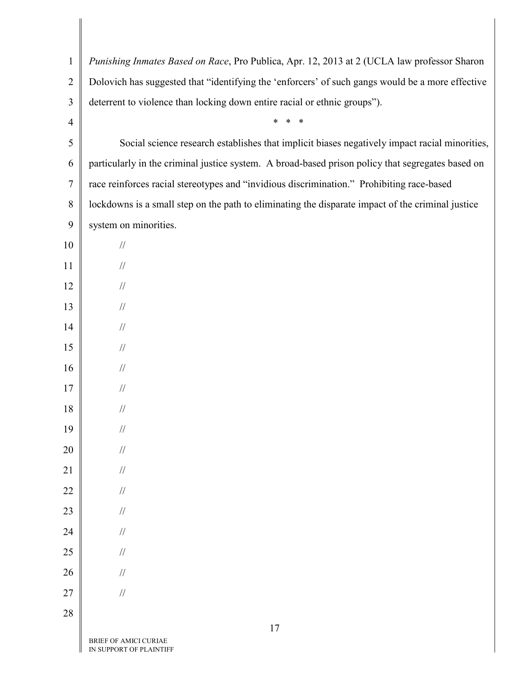| $\mathbf{1}$   | Punishing Inmates Based on Race, Pro Publica, Apr. 12, 2013 at 2 (UCLA law professor Sharon       |
|----------------|---------------------------------------------------------------------------------------------------|
| $\overline{2}$ | Dolovich has suggested that "identifying the 'enforcers' of such gangs would be a more effective  |
| 3              | deterrent to violence than locking down entire racial or ethnic groups").                         |
| $\overline{4}$ | $\ast$<br>$\ast$                                                                                  |
| 5              | Social science research establishes that implicit biases negatively impact racial minorities,     |
| 6              | particularly in the criminal justice system. A broad-based prison policy that segregates based on |
| $\overline{7}$ | race reinforces racial stereotypes and "invidious discrimination." Prohibiting race-based         |
| 8              | lockdowns is a small step on the path to eliminating the disparate impact of the criminal justice |
| 9              | system on minorities.                                                                             |
| 10             | $\frac{1}{2}$                                                                                     |
| 11             | $\frac{1}{2}$                                                                                     |
| 12             | $\frac{1}{2}$                                                                                     |
| 13             | $\frac{1}{2}$                                                                                     |
| 14             | $\frac{1}{2}$                                                                                     |
| 15             | $\frac{1}{2}$                                                                                     |
| 16             | $\frac{1}{2}$                                                                                     |
| 17             | $\frac{1}{2}$                                                                                     |
| 18             | $\frac{1}{2}$                                                                                     |
| 19             | $\frac{1}{2}$                                                                                     |
| 20             | $\mathcal{U}$                                                                                     |
| 21             | $/\!/$                                                                                            |
| 22             | $/\!/$                                                                                            |
| 23             | $/\!/$                                                                                            |
| 24             | $/\!/$                                                                                            |
| 25             | $/\!/$                                                                                            |
| 26             | $/\!/$                                                                                            |
| 27             | $/\!/$                                                                                            |
| 28             |                                                                                                   |
|                | 17<br>BRIEF OF AMICI CURIAE                                                                       |

IN SUPPORT OF PLAINTIFF